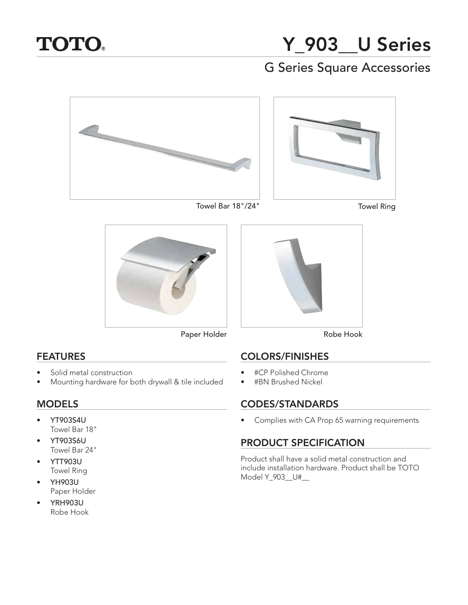# **TOTO.**

# **Y\_903\_\_U Series** G Series Square Accessories





Towel Bar 18"/24"

Towel Ring



Paper Holder

### **FEATURES**

- **FEATURES** • Solid metal construction
- Mounting hardware for both drywall & tile included

- **MODELS** • YT903S4U Towel Bar 18"
- YT903S6U Towel Bar 24"
- YTT903U Towel Ring
- YH903U Paper Holder
- YRH903U Robe Hook



Robe Hook

- **COLORS/FINISHES** • #CP Polished Chrome
- #BN Brushed Nickel

**CONEXER STANDARDS** • Complies with CA Prop 65 warning requirements

## **PRODUCT SPECIFICATION**

Product shall have a solid metal construction and include installation hardware. Product shall be TOTO Model Y\_903\_\_U#\_\_